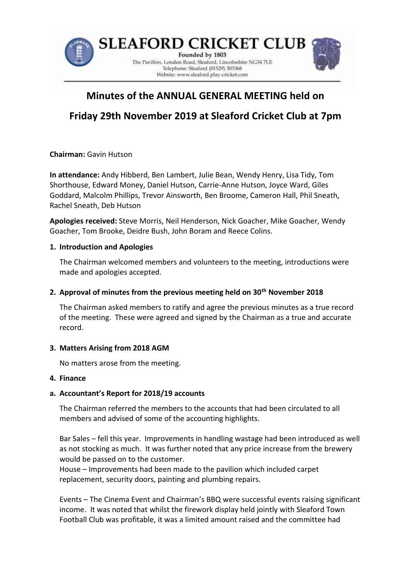

# **Minutes of the ANNUAL GENERAL MEETING held on**

# **Friday 29th November 2019 at Sleaford Cricket Club at 7pm**

**Chairman:** Gavin Hutson

**In attendance:** Andy Hibberd, Ben Lambert, Julie Bean, Wendy Henry, Lisa Tidy, Tom Shorthouse, Edward Money, Daniel Hutson, Carrie-Anne Hutson, Joyce Ward, Giles Goddard, Malcolm Phillips, Trevor Ainsworth, Ben Broome, Cameron Hall, Phil Sneath, Rachel Sneath, Deb Hutson

**Apologies received:** Steve Morris, Neil Henderson, Nick Goacher, Mike Goacher, Wendy Goacher, Tom Brooke, Deidre Bush, John Boram and Reece Colins.

#### **1. Introduction and Apologies**

The Chairman welcomed members and volunteers to the meeting, introductions were made and apologies accepted.

### **2. Approval of minutes from the previous meeting held on 30th November 2018**

The Chairman asked members to ratify and agree the previous minutes as a true record of the meeting. These were agreed and signed by the Chairman as a true and accurate record.

#### **3. Matters Arising from 2018 AGM**

No matters arose from the meeting.

#### **4. Finance**

# **a. Accountant's Report for 2018/19 accounts**

The Chairman referred the members to the accounts that had been circulated to all members and advised of some of the accounting highlights.

Bar Sales – fell this year. Improvements in handling wastage had been introduced as well as not stocking as much. It was further noted that any price increase from the brewery would be passed on to the customer.

House – Improvements had been made to the pavilion which included carpet replacement, security doors, painting and plumbing repairs.

Events – The Cinema Event and Chairman's BBQ were successful events raising significant income. It was noted that whilst the firework display held jointly with Sleaford Town Football Club was profitable, it was a limited amount raised and the committee had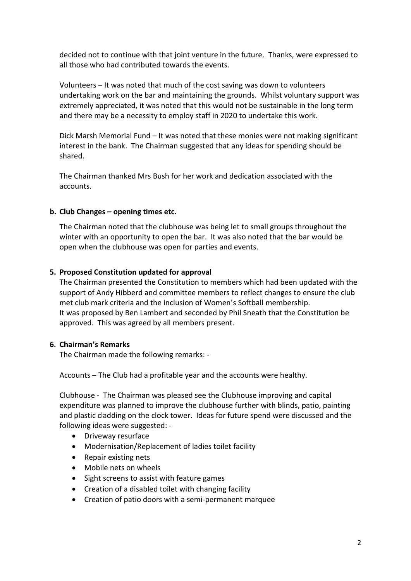decided not to continue with that joint venture in the future. Thanks, were expressed to all those who had contributed towards the events.

Volunteers – It was noted that much of the cost saving was down to volunteers undertaking work on the bar and maintaining the grounds. Whilst voluntary support was extremely appreciated, it was noted that this would not be sustainable in the long term and there may be a necessity to employ staff in 2020 to undertake this work.

Dick Marsh Memorial Fund – It was noted that these monies were not making significant interest in the bank. The Chairman suggested that any ideas for spending should be shared.

The Chairman thanked Mrs Bush for her work and dedication associated with the accounts.

#### **b. Club Changes – opening times etc.**

The Chairman noted that the clubhouse was being let to small groups throughout the winter with an opportunity to open the bar. It was also noted that the bar would be open when the clubhouse was open for parties and events.

#### **5. Proposed Constitution updated for approval**

The Chairman presented the Constitution to members which had been updated with the support of Andy Hibberd and committee members to reflect changes to ensure the club met club mark criteria and the inclusion of Women's Softball membership. It was proposed by Ben Lambert and seconded by Phil Sneath that the Constitution be approved. This was agreed by all members present.

# **6. Chairman's Remarks**

The Chairman made the following remarks: -

Accounts – The Club had a profitable year and the accounts were healthy.

Clubhouse - The Chairman was pleased see the Clubhouse improving and capital expenditure was planned to improve the clubhouse further with blinds, patio, painting and plastic cladding on the clock tower. Ideas for future spend were discussed and the following ideas were suggested: -

- Driveway resurface
- Modernisation/Replacement of ladies toilet facility
- Repair existing nets
- Mobile nets on wheels
- Sight screens to assist with feature games
- Creation of a disabled toilet with changing facility
- Creation of patio doors with a semi-permanent marquee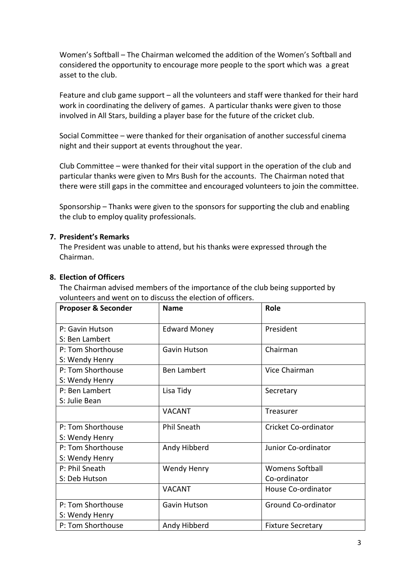Women's Softball – The Chairman welcomed the addition of the Women's Softball and considered the opportunity to encourage more people to the sport which was a great asset to the club.

Feature and club game support – all the volunteers and staff were thanked for their hard work in coordinating the delivery of games. A particular thanks were given to those involved in All Stars, building a player base for the future of the cricket club.

Social Committee – were thanked for their organisation of another successful cinema night and their support at events throughout the year.

Club Committee – were thanked for their vital support in the operation of the club and particular thanks were given to Mrs Bush for the accounts. The Chairman noted that there were still gaps in the committee and encouraged volunteers to join the committee.

Sponsorship – Thanks were given to the sponsors for supporting the club and enabling the club to employ quality professionals.

#### **7. President's Remarks**

The President was unable to attend, but his thanks were expressed through the Chairman.

#### **8. Election of Officers**

The Chairman advised members of the importance of the club being supported by volunteers and went on to discuss the election of officers.

| <b>Proposer &amp; Seconder</b>      | <b>Name</b>         | Role                                   |
|-------------------------------------|---------------------|----------------------------------------|
| P: Gavin Hutson<br>S: Ben Lambert   | <b>Edward Money</b> | President                              |
| P: Tom Shorthouse<br>S: Wendy Henry | Gavin Hutson        | Chairman                               |
| P: Tom Shorthouse<br>S: Wendy Henry | <b>Ben Lambert</b>  | Vice Chairman                          |
| P: Ben Lambert<br>S: Julie Bean     | Lisa Tidy           | Secretary                              |
|                                     | <b>VACANT</b>       | Treasurer                              |
| P: Tom Shorthouse<br>S: Wendy Henry | <b>Phil Sneath</b>  | Cricket Co-ordinator                   |
| P: Tom Shorthouse<br>S: Wendy Henry | Andy Hibberd        | Junior Co-ordinator                    |
| P: Phil Sneath<br>S: Deb Hutson     | Wendy Henry         | <b>Womens Softball</b><br>Co-ordinator |
|                                     | <b>VACANT</b>       | House Co-ordinator                     |
| P: Tom Shorthouse<br>S: Wendy Henry | Gavin Hutson        | <b>Ground Co-ordinator</b>             |
| P: Tom Shorthouse                   | Andy Hibberd        | <b>Fixture Secretary</b>               |